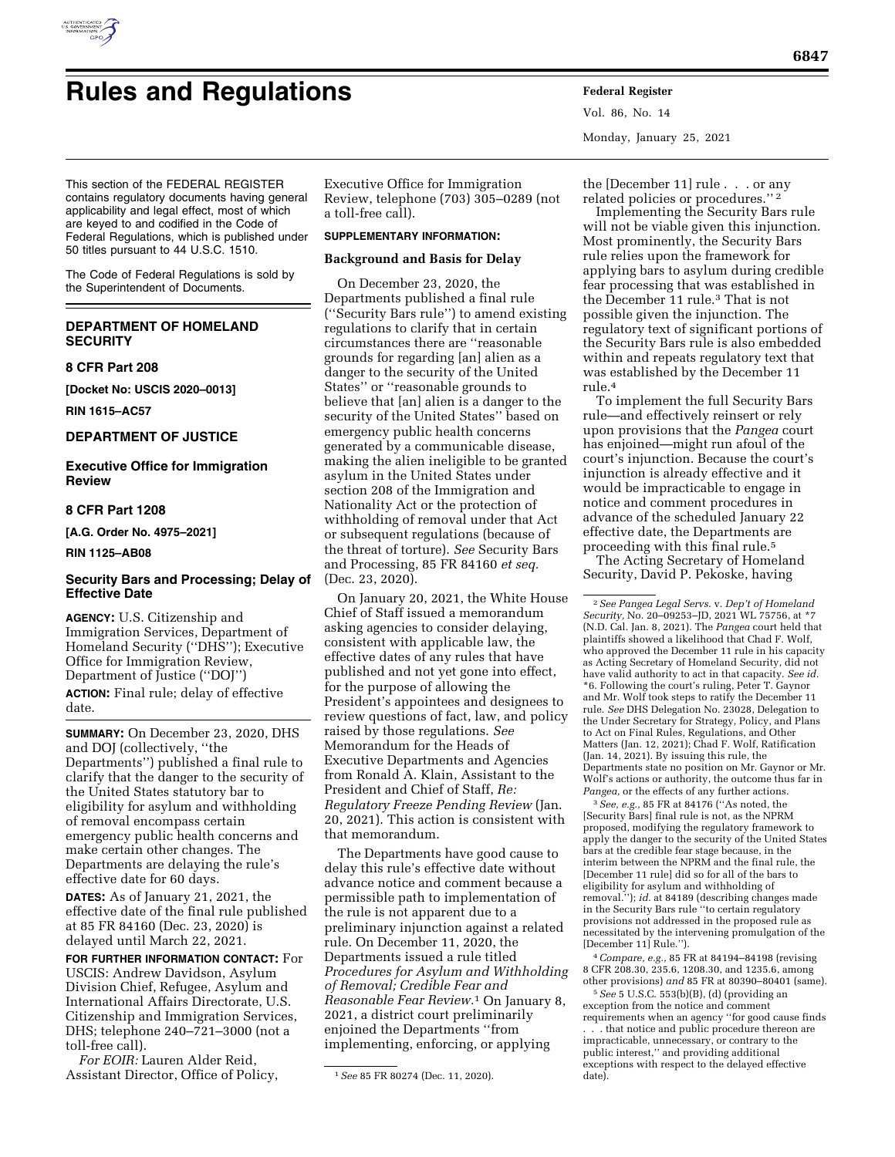

Vol. 86, No. 14 Monday, January 25, 2021

This section of the FEDERAL REGISTER contains regulatory documents having general applicability and legal effect, most of which are keyed to and codified in the Code of Federal Regulations, which is published under 50 titles pursuant to 44 U.S.C. 1510.

The Code of Federal Regulations is sold by the Superintendent of Documents.

# **DEPARTMENT OF HOMELAND SECURITY**

### **8 CFR Part 208**

**[Docket No: USCIS 2020–0013]** 

**RIN 1615–AC57** 

## **DEPARTMENT OF JUSTICE**

**Executive Office for Immigration Review** 

# **8 CFR Part 1208**

**[A.G. Order No. 4975–2021]** 

## **RIN 1125–AB08**

## **Security Bars and Processing; Delay of Effective Date**

**AGENCY:** U.S. Citizenship and Immigration Services, Department of Homeland Security (''DHS''); Executive Office for Immigration Review, Department of Justice (''DOJ'') **ACTION:** Final rule; delay of effective date.

**SUMMARY:** On December 23, 2020, DHS and DOJ (collectively, ''the Departments'') published a final rule to clarify that the danger to the security of the United States statutory bar to eligibility for asylum and withholding of removal encompass certain emergency public health concerns and make certain other changes. The Departments are delaying the rule's effective date for 60 days.

**DATES:** As of January 21, 2021, the effective date of the final rule published at 85 FR 84160 (Dec. 23, 2020) is delayed until March 22, 2021.

**FOR FURTHER INFORMATION CONTACT:** For USCIS: Andrew Davidson, Asylum Division Chief, Refugee, Asylum and International Affairs Directorate, U.S. Citizenship and Immigration Services, DHS; telephone 240–721–3000 (not a toll-free call).

*For EOIR:* Lauren Alder Reid, Assistant Director, Office of Policy,

Executive Office for Immigration Review, telephone (703) 305–0289 (not a toll-free call).

## **SUPPLEMENTARY INFORMATION:**

## **Background and Basis for Delay**

On December 23, 2020, the Departments published a final rule (''Security Bars rule'') to amend existing regulations to clarify that in certain circumstances there are ''reasonable grounds for regarding [an] alien as a danger to the security of the United States'' or ''reasonable grounds to believe that [an] alien is a danger to the security of the United States'' based on emergency public health concerns generated by a communicable disease, making the alien ineligible to be granted asylum in the United States under section 208 of the Immigration and Nationality Act or the protection of withholding of removal under that Act or subsequent regulations (because of the threat of torture). *See* Security Bars and Processing, 85 FR 84160 *et seq.*  (Dec. 23, 2020).

On January 20, 2021, the White House Chief of Staff issued a memorandum asking agencies to consider delaying, consistent with applicable law, the effective dates of any rules that have published and not yet gone into effect, for the purpose of allowing the President's appointees and designees to review questions of fact, law, and policy raised by those regulations. *See*  Memorandum for the Heads of Executive Departments and Agencies from Ronald A. Klain, Assistant to the President and Chief of Staff, *Re: Regulatory Freeze Pending Review* (Jan. 20, 2021). This action is consistent with that memorandum.

The Departments have good cause to delay this rule's effective date without advance notice and comment because a permissible path to implementation of the rule is not apparent due to a preliminary injunction against a related rule. On December 11, 2020, the Departments issued a rule titled *Procedures for Asylum and Withholding of Removal; Credible Fear and Reasonable Fear Review.*1 On January 8, 2021, a district court preliminarily enjoined the Departments ''from implementing, enforcing, or applying

the [December 11] rule . . . or any related policies or procedures.'' 2

Implementing the Security Bars rule will not be viable given this injunction. Most prominently, the Security Bars rule relies upon the framework for applying bars to asylum during credible fear processing that was established in the December 11 rule.3 That is not possible given the injunction. The regulatory text of significant portions of the Security Bars rule is also embedded within and repeats regulatory text that was established by the December 11 rule.4

To implement the full Security Bars rule—and effectively reinsert or rely upon provisions that the *Pangea* court has enjoined—might run afoul of the court's injunction. Because the court's injunction is already effective and it would be impracticable to engage in notice and comment procedures in advance of the scheduled January 22 effective date, the Departments are proceeding with this final rule.5

The Acting Secretary of Homeland Security, David P. Pekoske, having

3*See, e.g.,* 85 FR at 84176 (''As noted, the [Security Bars] final rule is not, as the NPRM proposed, modifying the regulatory framework to apply the danger to the security of the United States bars at the credible fear stage because, in the interim between the NPRM and the final rule, the [December 11 rule] did so for all of the bars to eligibility for asylum and withholding of removal.''); *id.* at 84189 (describing changes made in the Security Bars rule ''to certain regulatory provisions not addressed in the proposed rule as necessitated by the intervening promulgation of the [December 11] Rule.'').

4*Compare, e.g.,* 85 FR at 84194–84198 (revising 8 CFR 208.30, 235.6, 1208.30, and 1235.6, among other provisions) *and* 85 FR at 80390–80401 (same).

5*See* 5 U.S.C. 553(b)(B), (d) (providing an exception from the notice and comment requirements when an agency ''for good cause finds . . . that notice and public procedure thereon are impracticable, unnecessary, or contrary to the public interest,'' and providing additional exceptions with respect to the delayed effective date).

<sup>1</sup>*See* 85 FR 80274 (Dec. 11, 2020).

<sup>2</sup>*See Pangea Legal Servs.* v. *Dep't of Homeland Security,* No. 20–09253–JD, 2021 WL 75756, at \*7 (N.D. Cal. Jan. 8, 2021). The *Pangea* court held that plaintiffs showed a likelihood that Chad F. Wolf, who approved the December 11 rule in his capacity as Acting Secretary of Homeland Security, did not have valid authority to act in that capacity. *See id.*  \*6. Following the court's ruling, Peter T. Gaynor and Mr. Wolf took steps to ratify the December 11 rule. *See* DHS Delegation No. 23028, Delegation to the Under Secretary for Strategy, Policy, and Plans to Act on Final Rules, Regulations, and Other Matters (Jan. 12, 2021); Chad F. Wolf, Ratification (Jan. 14, 2021). By issuing this rule, the Departments state no position on Mr. Gaynor or Mr. Wolf's actions or authority, the outcome thus far in *Pangea,* or the effects of any further actions.